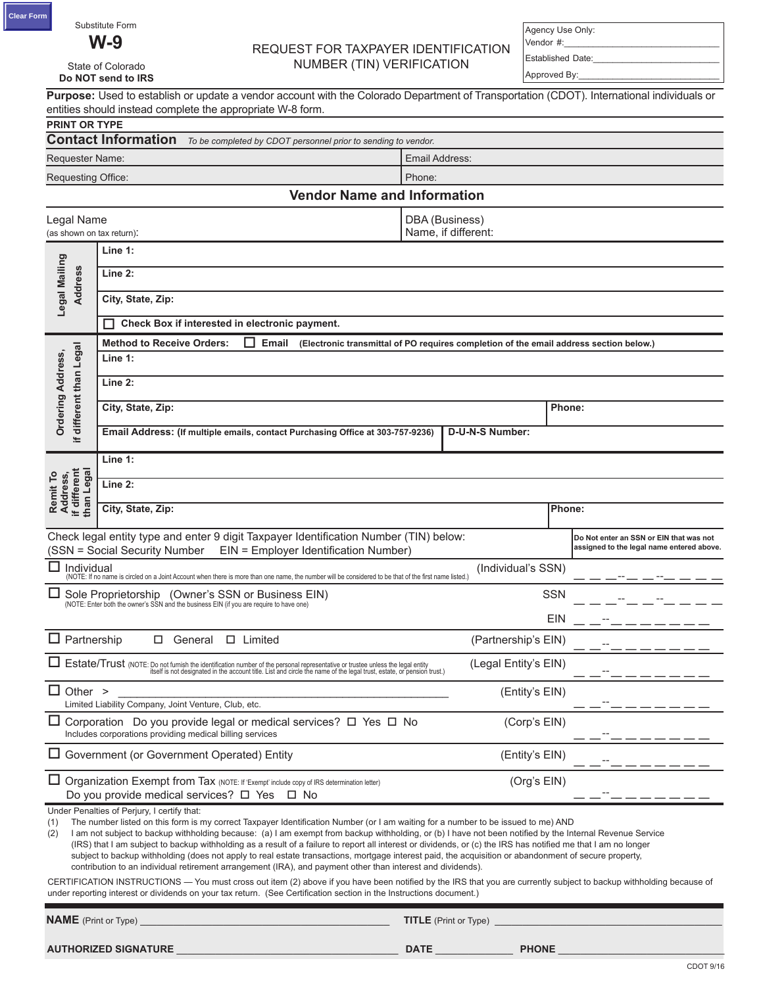State of Colorado

**Do NOT send to IRS**

# **W-9** REQUEST FOR TAXPAYER IDENTIFICATION NUMBER (TIN) VERIFICATION

Agency Use Only: Vendor #:\_

Established Date:\_\_\_\_\_\_\_\_\_\_\_\_\_\_\_\_\_\_\_\_\_\_\_\_\_\_ Approved By:

|                                                                                                                                                                 | Purpose: Used to establish or update a vendor account with the Colorado Department of Transportation (CDOT). International individuals or<br>entities should instead complete the appropriate W-8 form.                                                                                                                                                                                                                                                                                                                                                                                                                                                                                                                                                                                |                                                                                        |                                           |
|-----------------------------------------------------------------------------------------------------------------------------------------------------------------|----------------------------------------------------------------------------------------------------------------------------------------------------------------------------------------------------------------------------------------------------------------------------------------------------------------------------------------------------------------------------------------------------------------------------------------------------------------------------------------------------------------------------------------------------------------------------------------------------------------------------------------------------------------------------------------------------------------------------------------------------------------------------------------|----------------------------------------------------------------------------------------|-------------------------------------------|
| <b>PRINT OR TYPE</b>                                                                                                                                            | <b>Contact Information</b><br>To be completed by CDOT personnel prior to sending to vendor.                                                                                                                                                                                                                                                                                                                                                                                                                                                                                                                                                                                                                                                                                            |                                                                                        |                                           |
| Requester Name:                                                                                                                                                 |                                                                                                                                                                                                                                                                                                                                                                                                                                                                                                                                                                                                                                                                                                                                                                                        | Email Address:                                                                         |                                           |
| Requesting Office:                                                                                                                                              |                                                                                                                                                                                                                                                                                                                                                                                                                                                                                                                                                                                                                                                                                                                                                                                        | Phone:                                                                                 |                                           |
|                                                                                                                                                                 | <b>Vendor Name and Information</b>                                                                                                                                                                                                                                                                                                                                                                                                                                                                                                                                                                                                                                                                                                                                                     |                                                                                        |                                           |
| Legal Name<br>(as shown on tax return):                                                                                                                         |                                                                                                                                                                                                                                                                                                                                                                                                                                                                                                                                                                                                                                                                                                                                                                                        | DBA (Business)<br>Name, if different:                                                  |                                           |
| Legal Mailing<br><b>Address</b>                                                                                                                                 | Line 1:<br>Line 2:<br>City, State, Zip:<br>Check Box if interested in electronic payment.                                                                                                                                                                                                                                                                                                                                                                                                                                                                                                                                                                                                                                                                                              |                                                                                        |                                           |
|                                                                                                                                                                 | <b>Method to Receive Orders:</b><br>Email                                                                                                                                                                                                                                                                                                                                                                                                                                                                                                                                                                                                                                                                                                                                              | (Electronic transmittal of PO requires completion of the email address section below.) |                                           |
| if different than Legal<br><b>Ordering Address,</b>                                                                                                             | Line 1:<br>Line 2:                                                                                                                                                                                                                                                                                                                                                                                                                                                                                                                                                                                                                                                                                                                                                                     |                                                                                        |                                           |
|                                                                                                                                                                 | City, State, Zip:                                                                                                                                                                                                                                                                                                                                                                                                                                                                                                                                                                                                                                                                                                                                                                      |                                                                                        | Phone:                                    |
|                                                                                                                                                                 | Email Address: (If multiple emails, contact Purchasing Office at 303-757-9236)                                                                                                                                                                                                                                                                                                                                                                                                                                                                                                                                                                                                                                                                                                         | D-U-N-S Number:                                                                        |                                           |
|                                                                                                                                                                 |                                                                                                                                                                                                                                                                                                                                                                                                                                                                                                                                                                                                                                                                                                                                                                                        |                                                                                        |                                           |
|                                                                                                                                                                 | Line 1:                                                                                                                                                                                                                                                                                                                                                                                                                                                                                                                                                                                                                                                                                                                                                                                |                                                                                        |                                           |
| Remit To<br>Address,<br>if different<br>than Legal<br>Line 2:                                                                                                   |                                                                                                                                                                                                                                                                                                                                                                                                                                                                                                                                                                                                                                                                                                                                                                                        |                                                                                        |                                           |
|                                                                                                                                                                 | City, State, Zip:                                                                                                                                                                                                                                                                                                                                                                                                                                                                                                                                                                                                                                                                                                                                                                      |                                                                                        | Phone:                                    |
| Check legal entity type and enter 9 digit Taxpayer Identification Number (TIN) below:<br>(SSN = Social Security Number<br>EIN = Employer Identification Number) |                                                                                                                                                                                                                                                                                                                                                                                                                                                                                                                                                                                                                                                                                                                                                                                        |                                                                                        | Do Not enter an SSN or EIN that was not   |
|                                                                                                                                                                 |                                                                                                                                                                                                                                                                                                                                                                                                                                                                                                                                                                                                                                                                                                                                                                                        |                                                                                        | assigned to the legal name entered above. |
| Individual                                                                                                                                                      |                                                                                                                                                                                                                                                                                                                                                                                                                                                                                                                                                                                                                                                                                                                                                                                        | (Individual's SSN)                                                                     |                                           |
|                                                                                                                                                                 | (NOTE: If no name is circled on a Joint Account when there is more than one name, the number will be considered to be that of the first name listed.)<br>Sole Proprietorship (Owner's SSN or Business EIN)<br>(NOTE: Enter both the owner's SSN and the business EIN (if you are require to have one)                                                                                                                                                                                                                                                                                                                                                                                                                                                                                  |                                                                                        | <b>SSN</b>                                |
|                                                                                                                                                                 |                                                                                                                                                                                                                                                                                                                                                                                                                                                                                                                                                                                                                                                                                                                                                                                        |                                                                                        | EIN                                       |
| $\Box$ Partnership                                                                                                                                              | $\Box$ Limited<br>□ General                                                                                                                                                                                                                                                                                                                                                                                                                                                                                                                                                                                                                                                                                                                                                            | (Partnership's EIN)                                                                    |                                           |
|                                                                                                                                                                 | Estate/Trust (NOTE: Do not furnish the identification number of the personal representative or trustee unless the legal entity<br>Esterts in the account title. List and designated in the account title. List and circle the nam                                                                                                                                                                                                                                                                                                                                                                                                                                                                                                                                                      | (Legal Entity's EIN)                                                                   |                                           |
| $\Box$ Other >                                                                                                                                                  | Limited Liability Company, Joint Venture, Club, etc.                                                                                                                                                                                                                                                                                                                                                                                                                                                                                                                                                                                                                                                                                                                                   | (Entity's EIN)                                                                         |                                           |
|                                                                                                                                                                 | Corporation Do you provide legal or medical services? $\Box$ Yes $\Box$ No<br>Includes corporations providing medical billing services                                                                                                                                                                                                                                                                                                                                                                                                                                                                                                                                                                                                                                                 | (Corp's EIN)                                                                           |                                           |
|                                                                                                                                                                 | $\Box$ Government (or Government Operated) Entity                                                                                                                                                                                                                                                                                                                                                                                                                                                                                                                                                                                                                                                                                                                                      | (Entity's EIN)                                                                         |                                           |
|                                                                                                                                                                 | $\Box$ Organization Exempt from Tax (NOTE: If 'Exempt' include copy of IRS determination letter)<br>Do you provide medical services? $\Box$ Yes $\Box$ No                                                                                                                                                                                                                                                                                                                                                                                                                                                                                                                                                                                                                              | (Org's EIN)                                                                            |                                           |
| (1)<br>(2)                                                                                                                                                      | Under Penalties of Perjury, I certify that:<br>The number listed on this form is my correct Taxpayer Identification Number (or I am waiting for a number to be issued to me) AND<br>I am not subject to backup withholding because: (a) I am exempt from backup withholding, or (b) I have not been notified by the Internal Revenue Service<br>(IRS) that I am subject to backup withholding as a result of a failure to report all interest or dividends, or (c) the IRS has notified me that I am no longer<br>subject to backup withholding (does not apply to real estate transactions, mortgage interest paid, the acquisition or abandonment of secure property,<br>contribution to an individual retirement arrangement (IRA), and payment other than interest and dividends). |                                                                                        |                                           |
|                                                                                                                                                                 | CERTIFICATION INSTRUCTIONS - You must cross out item (2) above if you have been notified by the IRS that you are currently subject to backup withholding because of<br>under reporting interest or dividends on your tax return. (See Certification section in the Instructions document.)                                                                                                                                                                                                                                                                                                                                                                                                                                                                                             |                                                                                        |                                           |
| <b>NAME</b> (Print or Type)                                                                                                                                     |                                                                                                                                                                                                                                                                                                                                                                                                                                                                                                                                                                                                                                                                                                                                                                                        | <b>TITLE</b> (Print or Type)                                                           |                                           |